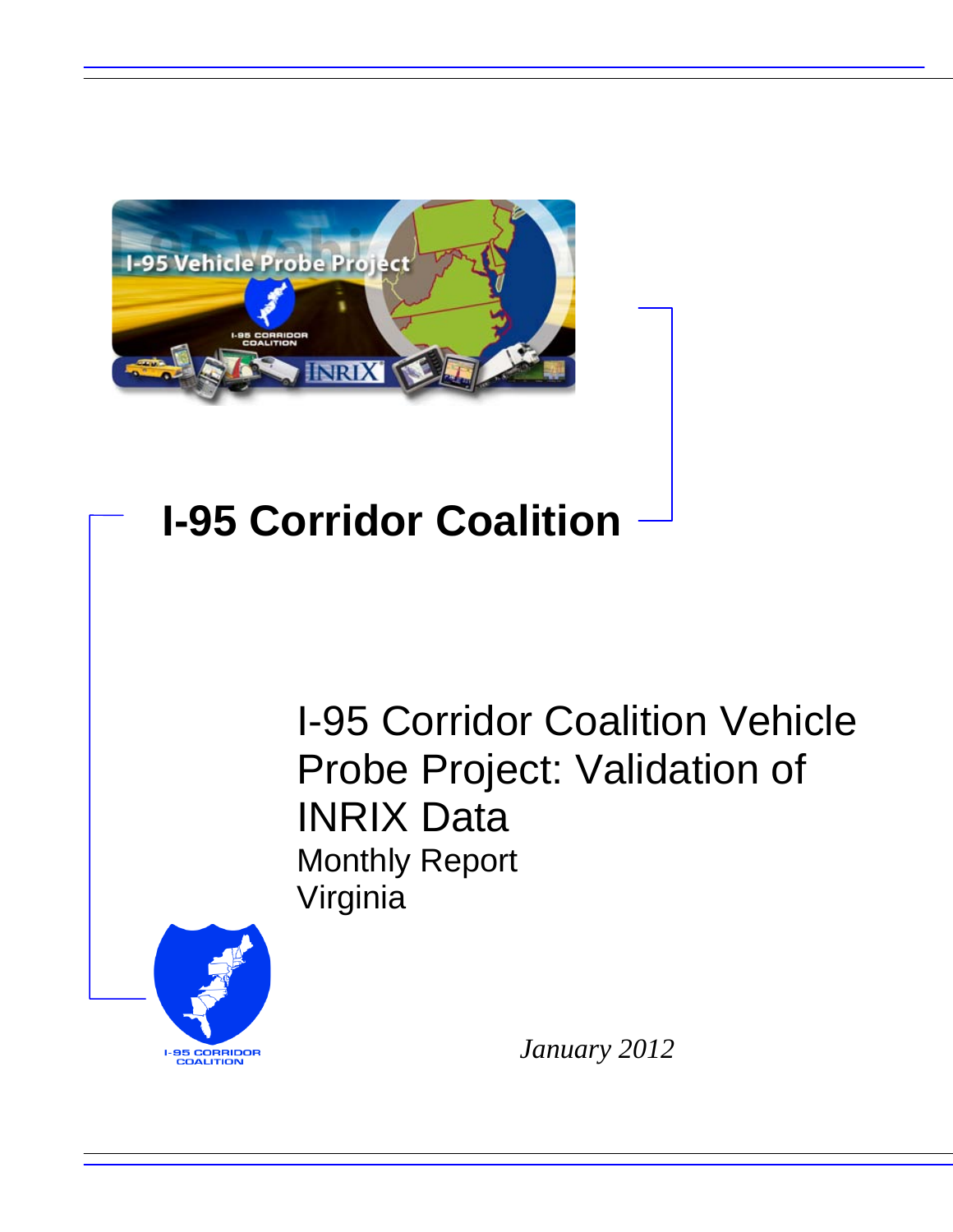

## **I-95 Corridor Coalition**

I-95 Corridor Coalition Vehicle Probe Project: Validation of INRIX Data Monthly Report Virginia



*January 2012*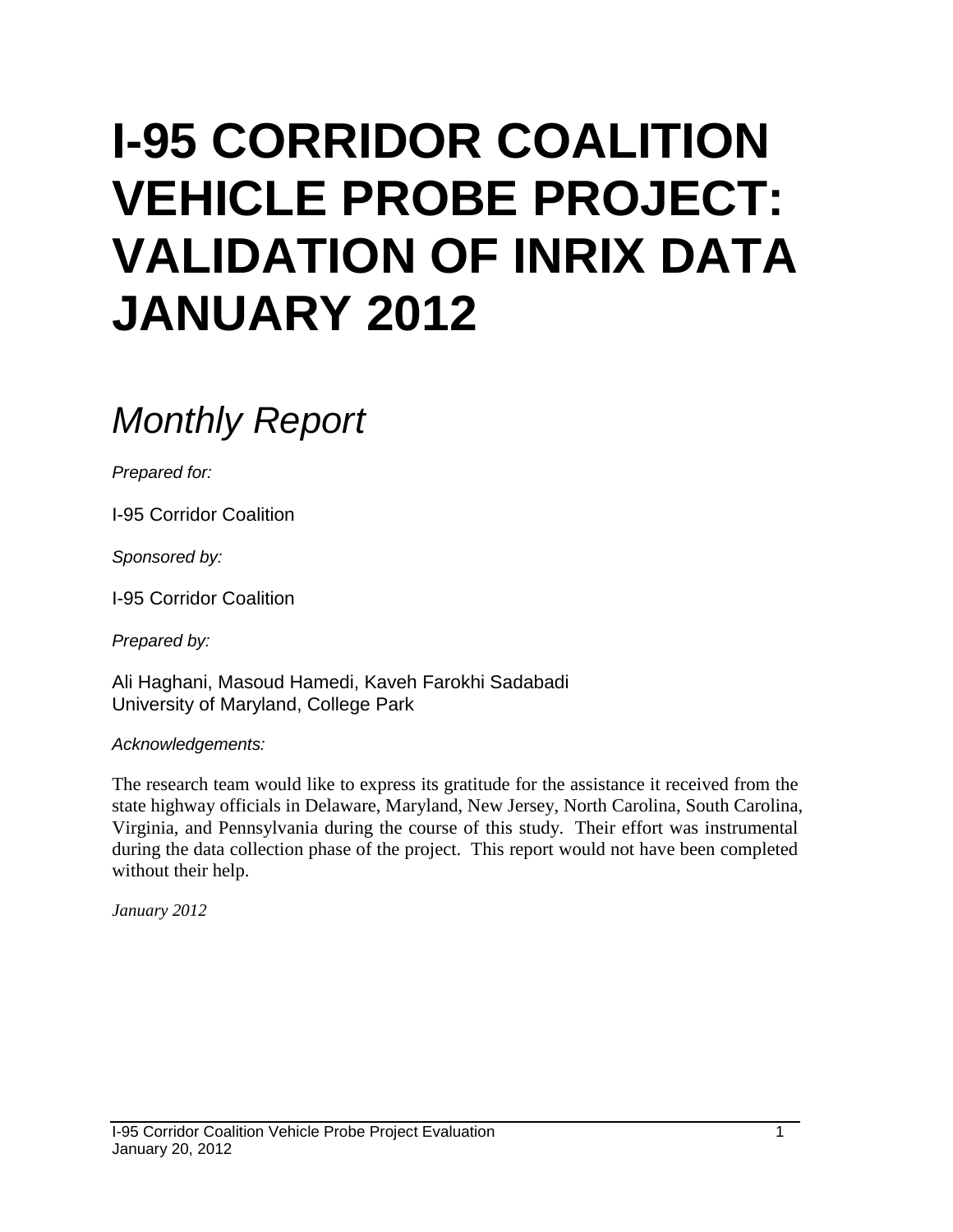# **I-95 CORRIDOR COALITION VEHICLE PROBE PROJECT: VALIDATION OF INRIX DATA JANUARY 2012**

## *Monthly Report*

*Prepared for:*

I-95 Corridor Coalition

*Sponsored by:*

I-95 Corridor Coalition

*Prepared by:*

Ali Haghani, Masoud Hamedi, Kaveh Farokhi Sadabadi University of Maryland, College Park

*Acknowledgements:*

The research team would like to express its gratitude for the assistance it received from the state highway officials in Delaware, Maryland, New Jersey, North Carolina, South Carolina, Virginia, and Pennsylvania during the course of this study. Their effort was instrumental during the data collection phase of the project. This report would not have been completed without their help.

*January 2012*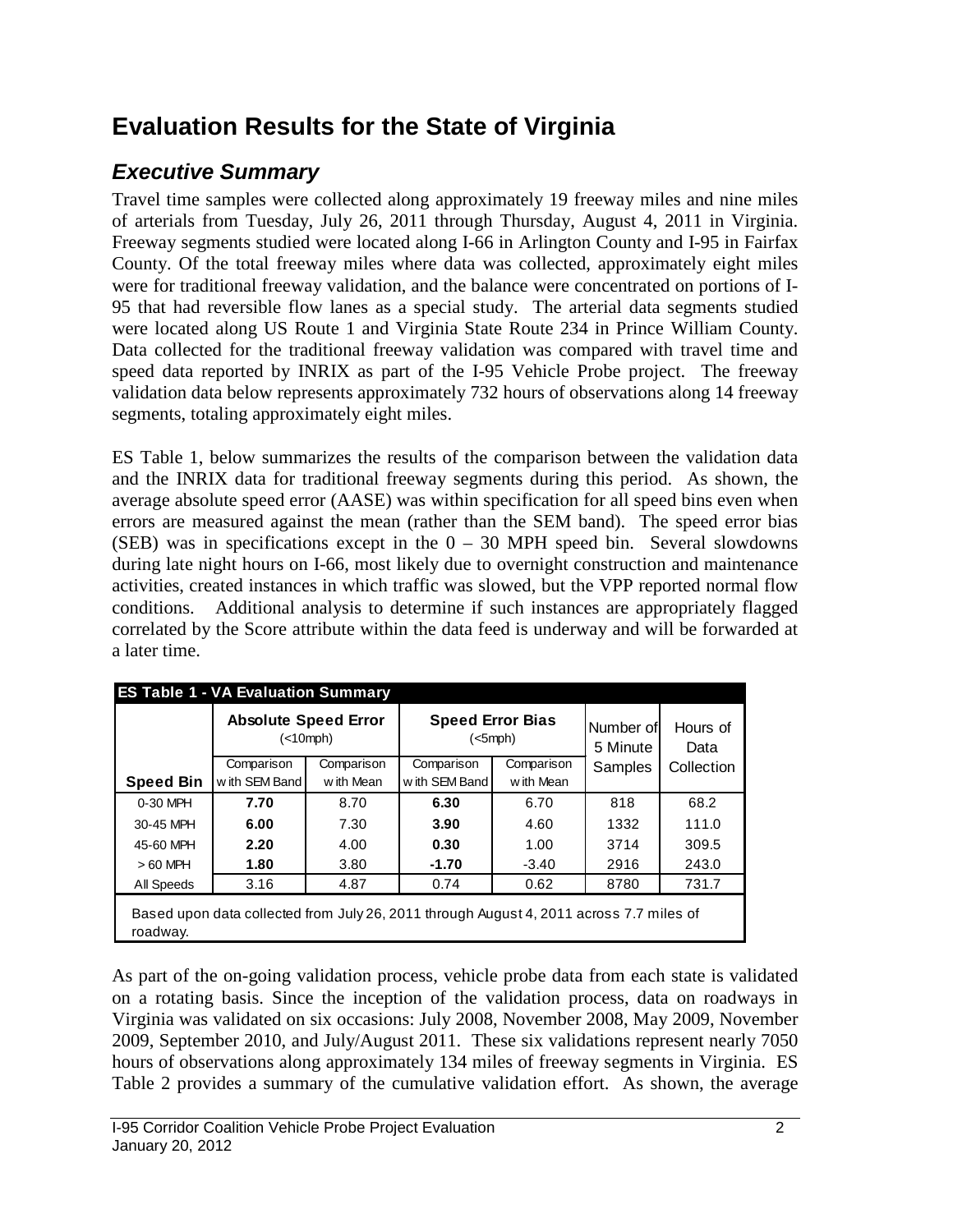## **Evaluation Results for the State of Virginia**

### *Executive Summary*

Travel time samples were collected along approximately 19 freeway miles and nine miles of arterials from Tuesday, July 26, 2011 through Thursday, August 4, 2011 in Virginia. Freeway segments studied were located along I-66 in Arlington County and I-95 in Fairfax County. Of the total freeway miles where data was collected, approximately eight miles were for traditional freeway validation, and the balance were concentrated on portions of I-95 that had reversible flow lanes as a special study. The arterial data segments studied were located along US Route 1 and Virginia State Route 234 in Prince William County. Data collected for the traditional freeway validation was compared with travel time and speed data reported by INRIX as part of the I-95 Vehicle Probe project. The freeway validation data below represents approximately 732 hours of observations along 14 freeway segments, totaling approximately eight miles.

ES Table 1, below summarizes the results of the comparison between the validation data and the INRIX data for traditional freeway segments during this period. As shown, the average absolute speed error (AASE) was within specification for all speed bins even when errors are measured against the mean (rather than the SEM band). The speed error bias (SEB) was in specifications except in the  $0 - 30$  MPH speed bin. Several slowdowns during late night hours on I-66, most likely due to overnight construction and maintenance activities, created instances in which traffic was slowed, but the VPP reported normal flow conditions. Additional analysis to determine if such instances are appropriately flagged correlated by the Score attribute within the data feed is underway and will be forwarded at a later time.

|                  | <b>ES Table 1 - VA Evaluation Summary</b><br><b>Absolute Speed Error</b><br>(<10 mph)   |                         | <b>Speed Error Bias</b><br>$(<5$ mph $)$ |            | Number of<br>5 Minute | Hours of<br>Data |
|------------------|-----------------------------------------------------------------------------------------|-------------------------|------------------------------------------|------------|-----------------------|------------------|
|                  | Comparison<br>with SEM Band                                                             | Comparison<br>with Mean | Comparison<br>Comparison                 |            | Samples               | Collection       |
| <b>Speed Bin</b> |                                                                                         |                         | with SEM Band                            | w ith Mean |                       |                  |
| 0-30 MPH         | 7.70                                                                                    | 8.70                    | 6.30                                     | 6.70       | 818                   | 68.2             |
| 30-45 MPH        | 6.00                                                                                    | 7.30                    | 3.90                                     | 4.60       | 1332                  | 111.0            |
| 45-60 MPH        | 2.20                                                                                    | 4.00                    | 0.30                                     | 1.00       | 3714                  | 309.5            |
| $>60$ MPH        | 1.80                                                                                    | 3.80                    | $-1.70$                                  | $-3.40$    | 2916                  | 243.0            |
| All Speeds       | 3.16                                                                                    | 4.87                    | 0.74                                     | 0.62       | 8780                  | 731.7            |
| roadway.         | Based upon data collected from July 26, 2011 through August 4, 2011 across 7.7 miles of |                         |                                          |            |                       |                  |

As part of the on-going validation process, vehicle probe data from each state is validated on a rotating basis. Since the inception of the validation process, data on roadways in Virginia was validated on six occasions: July 2008, November 2008, May 2009, November 2009, September 2010, and July/August 2011. These six validations represent nearly 7050 hours of observations along approximately 134 miles of freeway segments in Virginia. ES Table 2 provides a summary of the cumulative validation effort. As shown, the average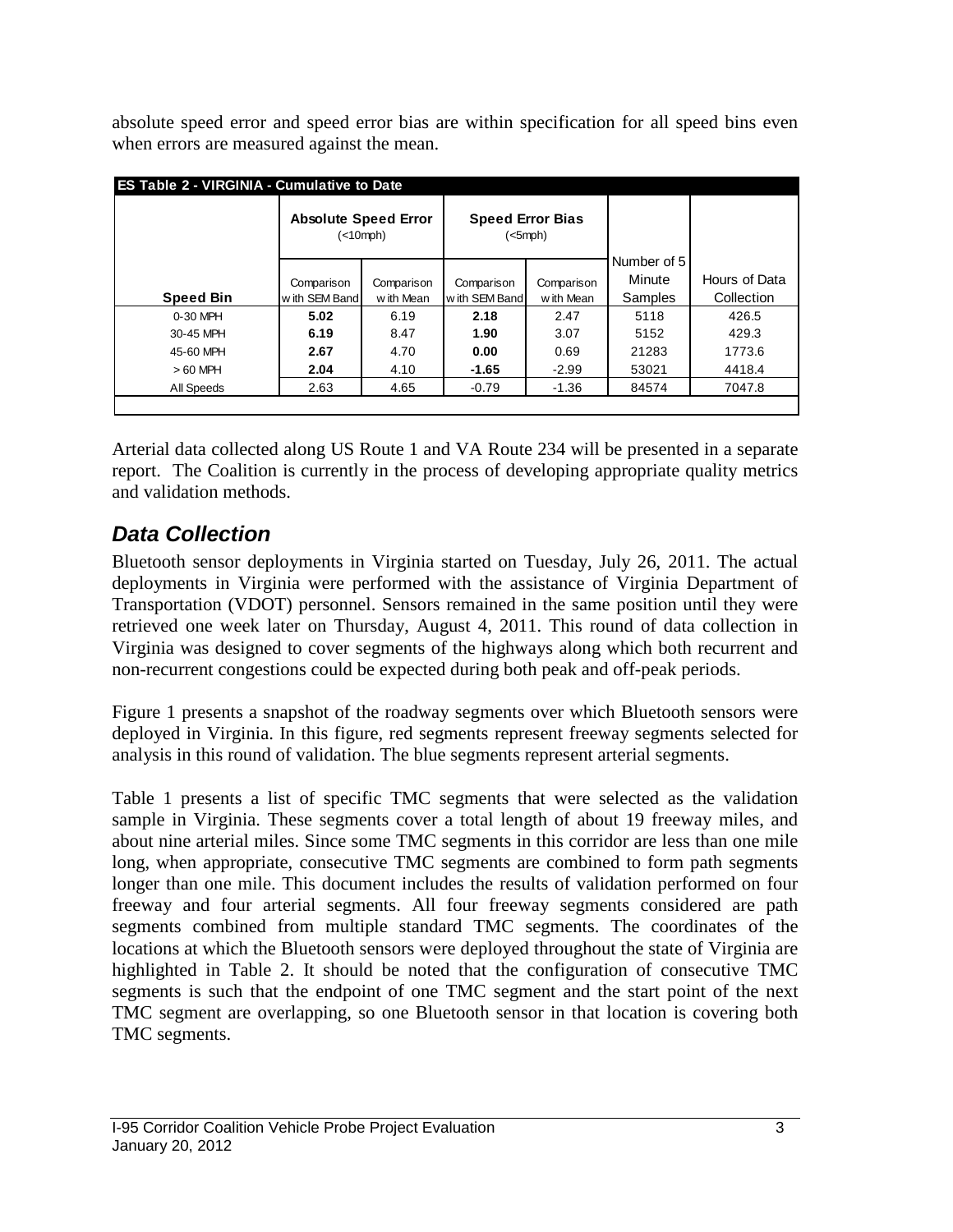absolute speed error and speed error bias are within specification for all speed bins even when errors are measured against the mean.

| <b>ES Table 2 - VIRGINIA - Cumulative to Date</b> |                                                     |            |                         |               |             |               |  |  |  |  |  |  |
|---------------------------------------------------|-----------------------------------------------------|------------|-------------------------|---------------|-------------|---------------|--|--|--|--|--|--|
|                                                   | <b>Absolute Speed Error</b><br>( <sub>10</sub> mph) |            | <b>Speed Error Bias</b> | $(<5$ mph $)$ |             |               |  |  |  |  |  |  |
|                                                   |                                                     |            |                         |               | Number of 5 |               |  |  |  |  |  |  |
|                                                   | Comparison                                          | Comparison | Comparison              | Comparison    | Minute      | Hours of Data |  |  |  |  |  |  |
| <b>Speed Bin</b>                                  | w ith SEM Band                                      | w ith Mean | w ith SEM Band          | w ith Mean    | Samples     | Collection    |  |  |  |  |  |  |
| 0-30 MPH                                          | 5.02                                                | 6.19       | 2.18                    | 2.47          | 5118        | 426.5         |  |  |  |  |  |  |
| 30-45 MPH                                         | 6.19                                                | 8.47       | 1.90                    | 3.07          | 5152        | 429.3         |  |  |  |  |  |  |
| 45-60 MPH                                         | 2.67                                                | 4.70       | 0.00                    | 0.69          | 21283       | 1773.6        |  |  |  |  |  |  |
| $>60$ MPH                                         | 2.04                                                | 4.10       | $-1.65$                 | $-2.99$       | 53021       | 4418.4        |  |  |  |  |  |  |
| All Speeds                                        | 2.63                                                | 4.65       | $-0.79$                 | $-1.36$       | 84574       | 7047.8        |  |  |  |  |  |  |
|                                                   |                                                     |            |                         |               |             |               |  |  |  |  |  |  |

Arterial data collected along US Route 1 and VA Route 234 will be presented in a separate report. The Coalition is currently in the process of developing appropriate quality metrics and validation methods.

### *Data Collection*

Bluetooth sensor deployments in Virginia started on Tuesday, July 26, 2011. The actual deployments in Virginia were performed with the assistance of Virginia Department of Transportation (VDOT) personnel. Sensors remained in the same position until they were retrieved one week later on Thursday, August 4, 2011. This round of data collection in Virginia was designed to cover segments of the highways along which both recurrent and non-recurrent congestions could be expected during both peak and off-peak periods.

Figure 1 presents a snapshot of the roadway segments over which Bluetooth sensors were deployed in Virginia. In this figure, red segments represent freeway segments selected for analysis in this round of validation. The blue segments represent arterial segments.

Table 1 presents a list of specific TMC segments that were selected as the validation sample in Virginia. These segments cover a total length of about 19 freeway miles, and about nine arterial miles. Since some TMC segments in this corridor are less than one mile long, when appropriate, consecutive TMC segments are combined to form path segments longer than one mile. This document includes the results of validation performed on four freeway and four arterial segments. All four freeway segments considered are path segments combined from multiple standard TMC segments. The coordinates of the locations at which the Bluetooth sensors were deployed throughout the state of Virginia are highlighted in Table 2. It should be noted that the configuration of consecutive TMC segments is such that the endpoint of one TMC segment and the start point of the next TMC segment are overlapping, so one Bluetooth sensor in that location is covering both TMC segments.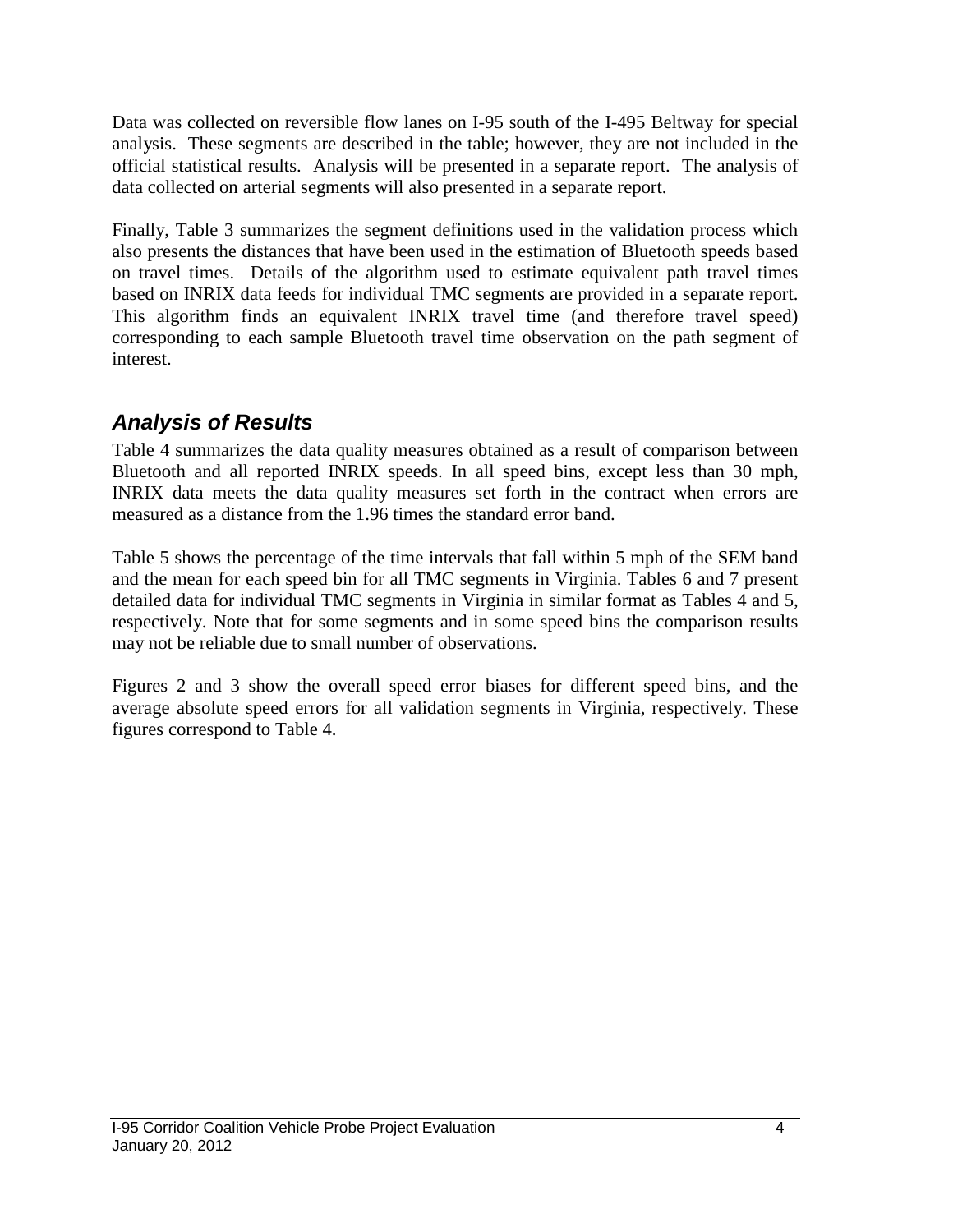Data was collected on reversible flow lanes on I-95 south of the I-495 Beltway for special analysis. These segments are described in the table; however, they are not included in the official statistical results. Analysis will be presented in a separate report. The analysis of data collected on arterial segments will also presented in a separate report.

Finally, Table 3 summarizes the segment definitions used in the validation process which also presents the distances that have been used in the estimation of Bluetooth speeds based on travel times. Details of the algorithm used to estimate equivalent path travel times based on INRIX data feeds for individual TMC segments are provided in a separate report. This algorithm finds an equivalent INRIX travel time (and therefore travel speed) corresponding to each sample Bluetooth travel time observation on the path segment of interest.

#### *Analysis of Results*

Table 4 summarizes the data quality measures obtained as a result of comparison between Bluetooth and all reported INRIX speeds. In all speed bins, except less than 30 mph, INRIX data meets the data quality measures set forth in the contract when errors are measured as a distance from the 1.96 times the standard error band.

Table 5 shows the percentage of the time intervals that fall within 5 mph of the SEM band and the mean for each speed bin for all TMC segments in Virginia. Tables 6 and 7 present detailed data for individual TMC segments in Virginia in similar format as Tables 4 and 5, respectively. Note that for some segments and in some speed bins the comparison results may not be reliable due to small number of observations.

Figures 2 and 3 show the overall speed error biases for different speed bins, and the average absolute speed errors for all validation segments in Virginia, respectively. These figures correspond to Table 4.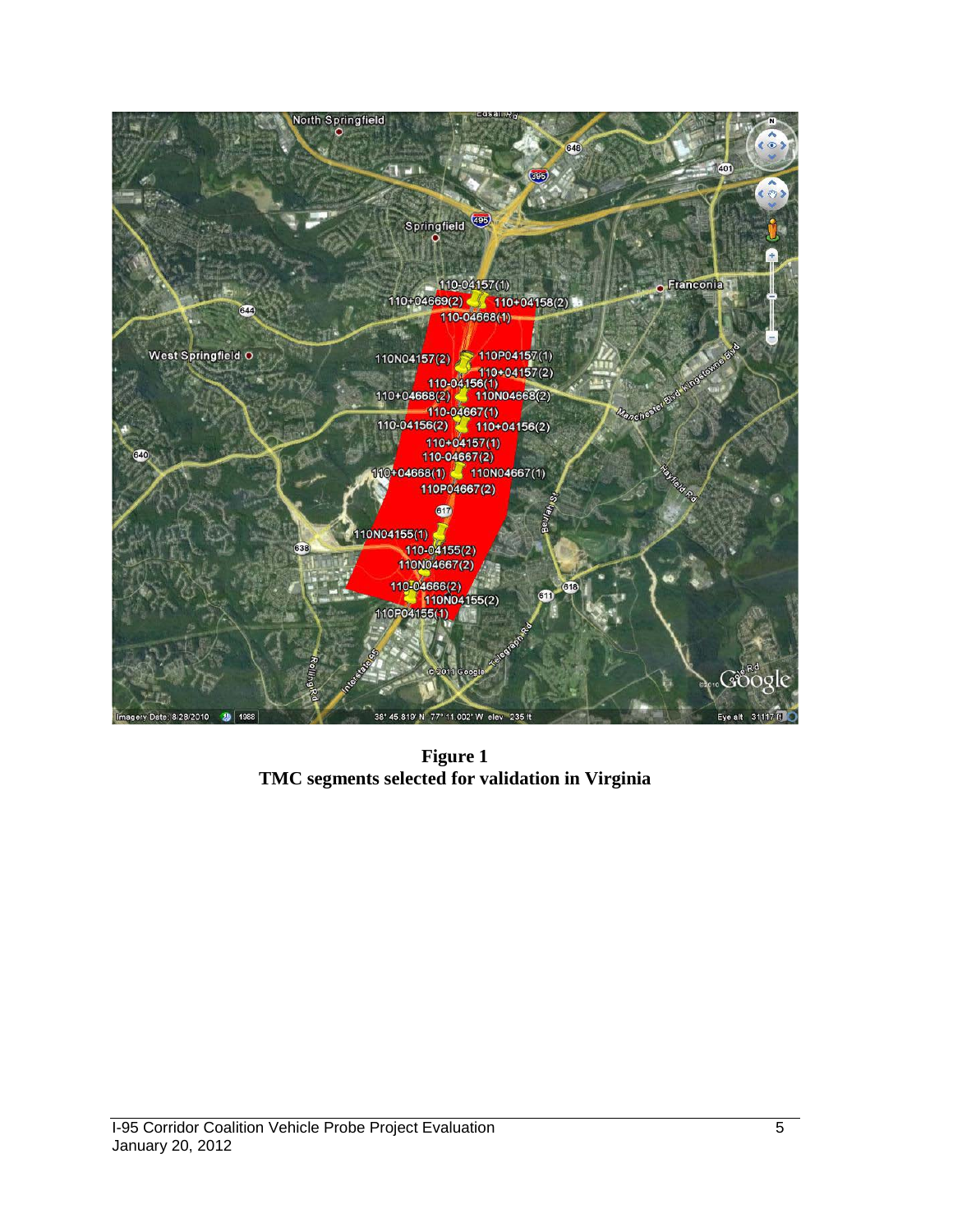

**Figure 1 TMC segments selected for validation in Virginia**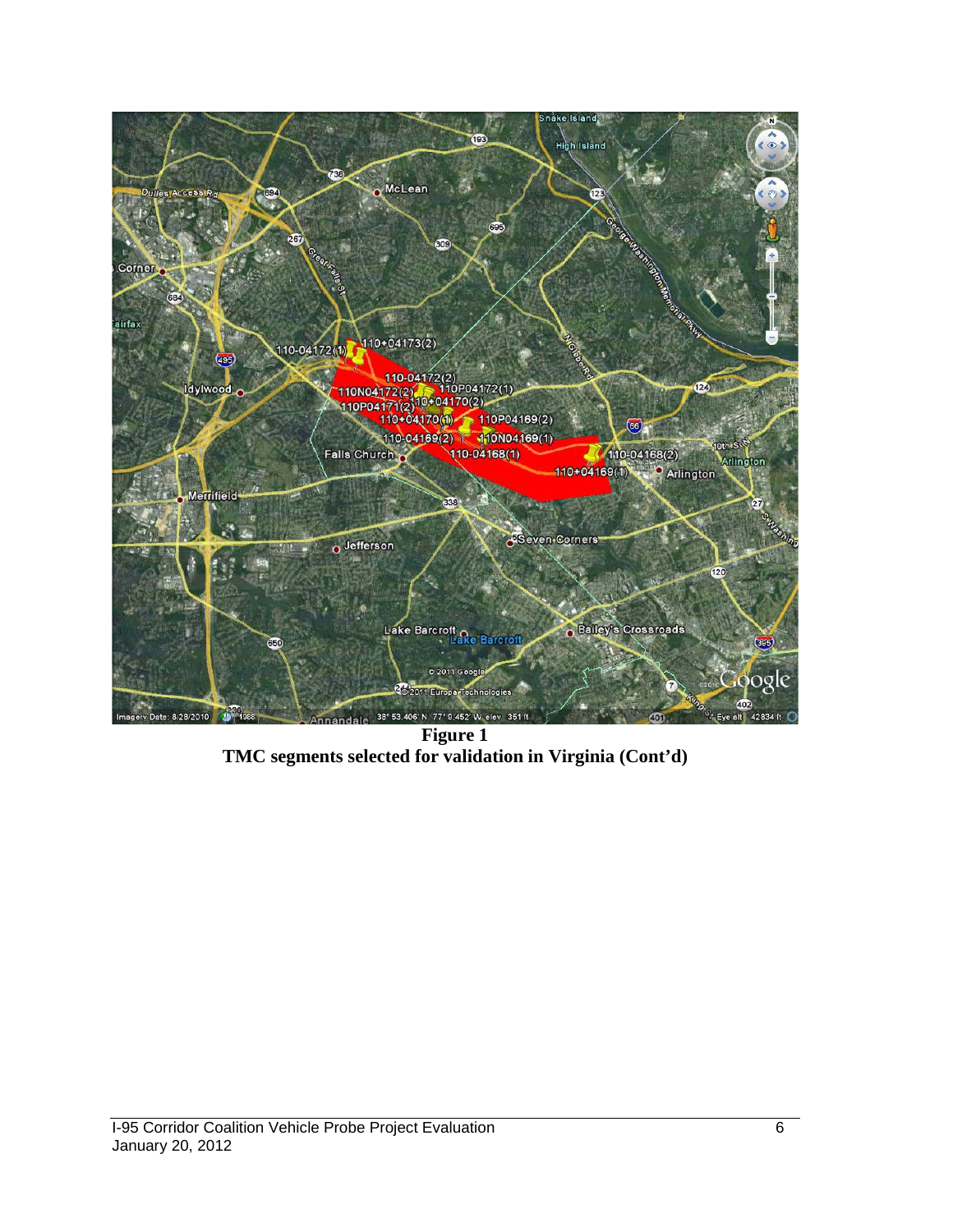

**Figure 1 TMC segments selected for validation in Virginia (Cont'd)**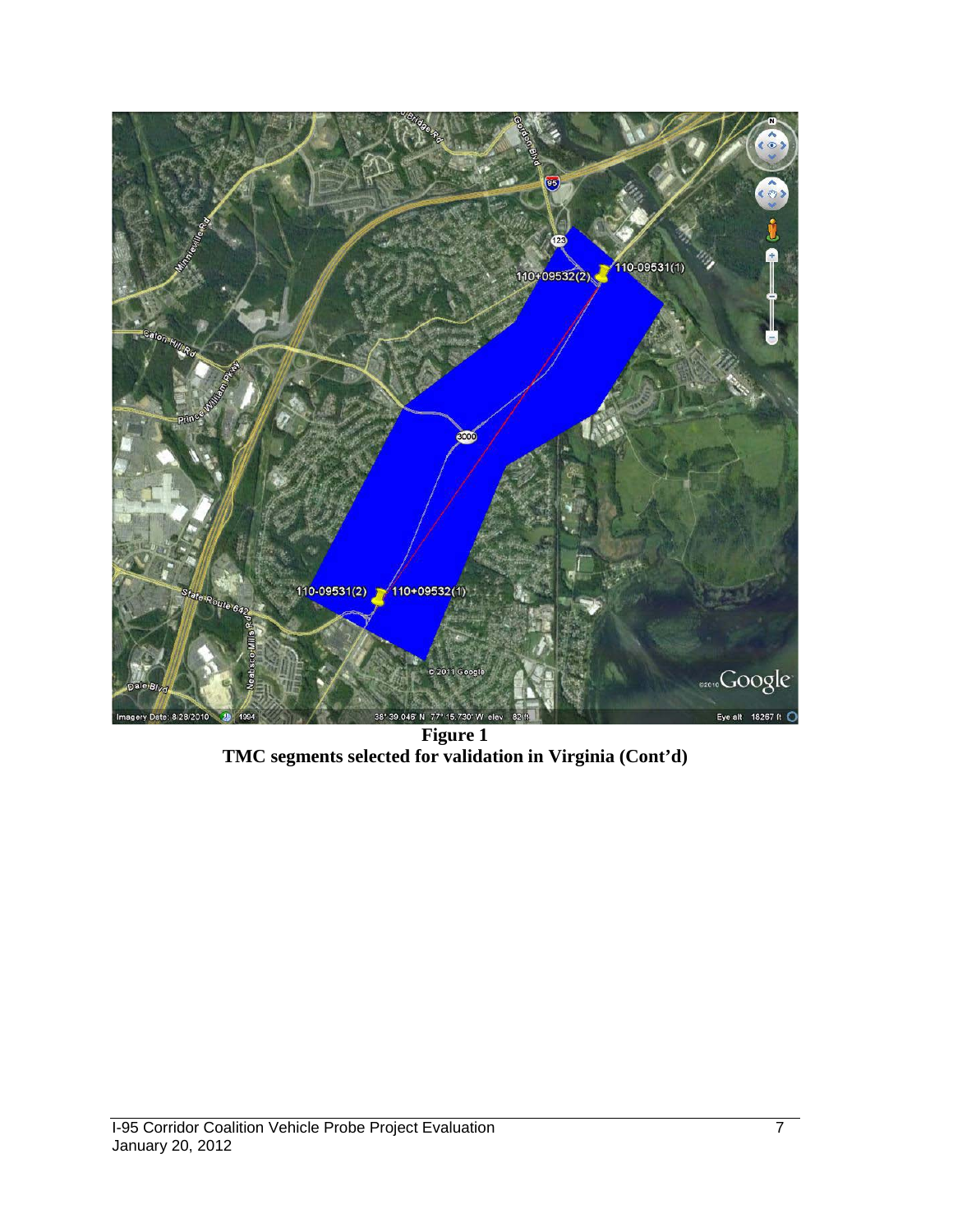

**Figure 1 TMC segments selected for validation in Virginia (Cont'd)**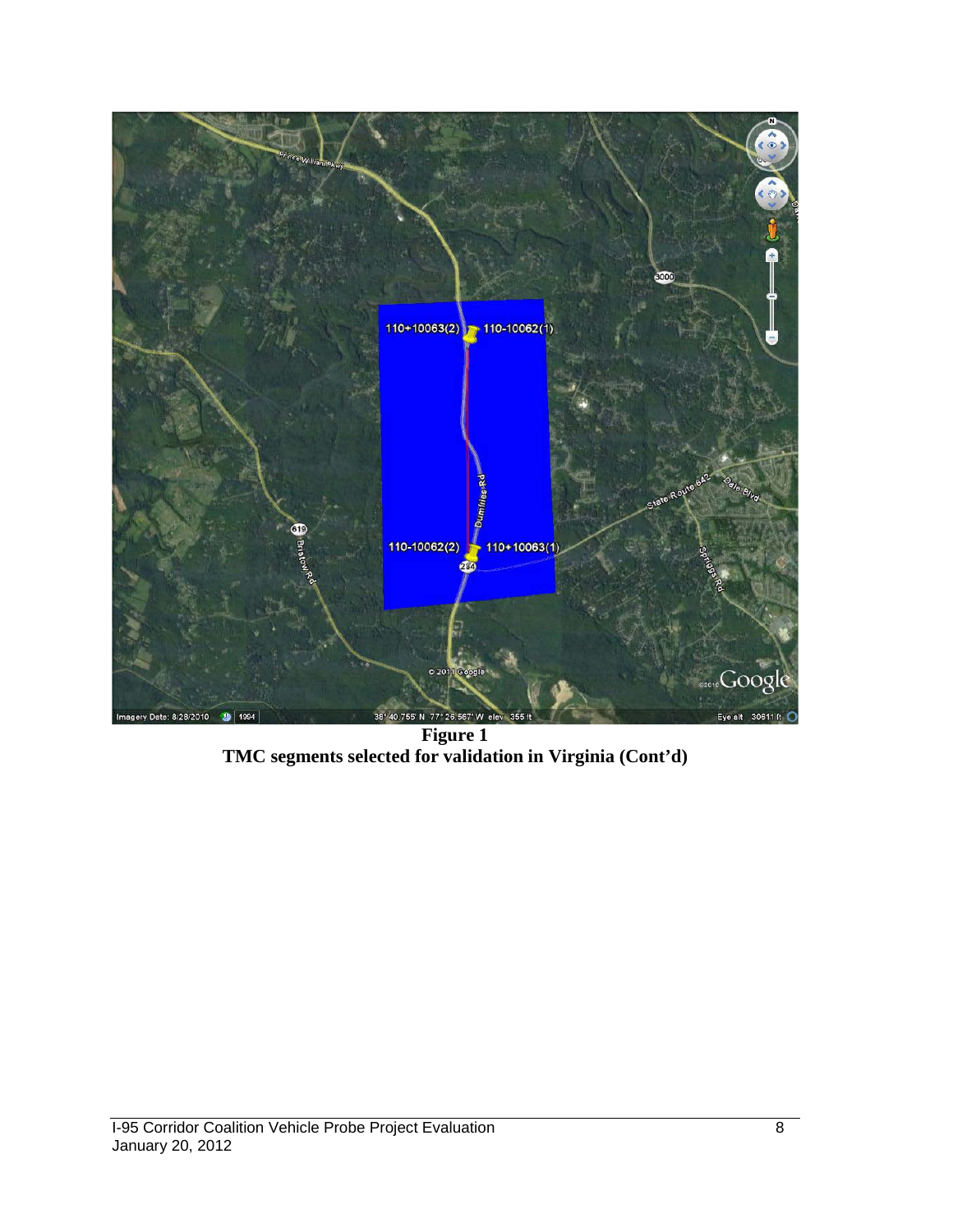

**Figure 1 TMC segments selected for validation in Virginia (Cont'd)**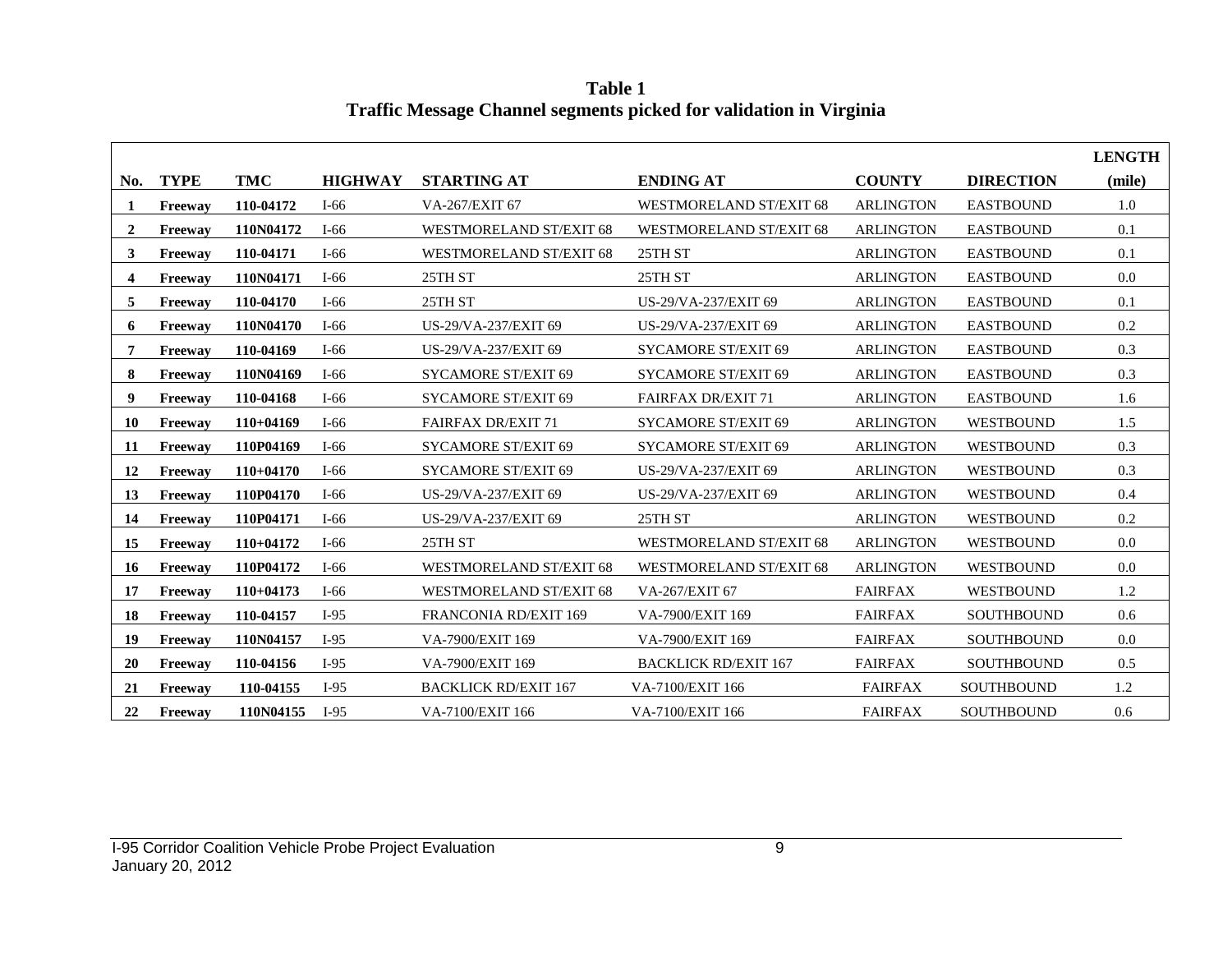**LENGTH No. TYPE TMC HIGHWAY STARTING AT ENDING AT COUNTY DIRECTION (mile) Freeway 110-04172** I-66 VA-267/EXIT 67 WESTMORELAND ST/EXIT 68 ARLINGTON EASTBOUND 1.0 **Freeway 110N04172** I-66 WESTMORELAND ST/EXIT 68 WESTMORELAND ST/EXIT 68 ARLINGTON EASTBOUND 0.1 **Freeway 110-04171** I-66 WESTMORELAND ST/EXIT 68 25TH ST ARLINGTON EASTBOUND 0.1 **Freeway 110N04171** I-66 25TH ST 25TH ST ARLINGTON EASTBOUND 0.0 **Freeway 110-04170** I-66 25TH ST US-29/VA-237/EXIT 69 ARLINGTON EASTBOUND 0.1 **Freeway 110N04170** I-66 US-29/VA-237/EXIT 69 US-29/VA-237/EXIT 69 ARLINGTON EASTBOUND 0.2 **Freeway 110-04169** I-66 US-29/VA-237/EXIT 69 SYCAMORE ST/EXIT 69 ARLINGTON EASTBOUND 0.3 **Freeway 110N04169** I-66 SYCAMORE ST/EXIT 69 SYCAMORE ST/EXIT 69 ARLINGTON EASTBOUND 0.3 **Freeway 110-04168** I-66 SYCAMORE ST/EXIT 69 FAIRFAX DR/EXIT 71 ARLINGTON EASTBOUND 1.6 **Freeway 110+04169** I-66 FAIRFAX DR/EXIT 71 SYCAMORE ST/EXIT 69 ARLINGTON WESTBOUND 1.5 **Freeway 110P04169** I-66 SYCAMORE ST/EXIT 69 SYCAMORE ST/EXIT 69 ARLINGTON WESTBOUND 0.3 **Freeway 110+04170** I-66 SYCAMORE ST/EXIT 69 US-29/VA-237/EXIT 69 ARLINGTON WESTBOUND 0.3 **Freeway 110P04170** I-66 US-29/VA-237/EXIT 69 US-29/VA-237/EXIT 69 ARLINGTON WESTBOUND 0.4 **Freeway 110P04171** I-66 US-29/VA-237/EXIT 69 25TH ST ARLINGTON WESTBOUND 0.2 **Freeway 110+04172** I-66 25TH ST WESTMORELAND ST/EXIT 68 ARLINGTON WESTBOUND 0.0 **Freeway 110P04172** I-66 WESTMORELAND ST/EXIT 68 WESTMORELAND ST/EXIT 68 ARLINGTON WESTBOUND 0.0 **Freeway 110+04173** I-66 WESTMORELAND ST/EXIT 68 VA-267/EXIT 67 FAIRFAX WESTBOUND 1.2 **Freeway 110-04157** I-95 FRANCONIA RD/EXIT 169 VA-7900/EXIT 169 FAIRFAX SOUTHBOUND 0.6 **Freeway 110N04157** I-95 VA-7900/EXIT 169 VA-7900/EXIT 169 FAIRFAX SOUTHBOUND 0.0 **Freeway 110-04156** I-95 VA-7900/EXIT 169 BACKLICK RD/EXIT 167 FAIRFAX SOUTHBOUND 0.5 **Freeway 110-04155** I-95 BACKLICK RD/EXIT 167 VA-7100/EXIT 166 FAIRFAX SOUTHBOUND 1.2 **Freeway 110N04155** I-95 VA-7100/EXIT 166 VA-7100/EXIT 166 FAIRFAX SOUTHBOUND 0.6

**Table 1 Traffic Message Channel segments picked for validation in Virginia**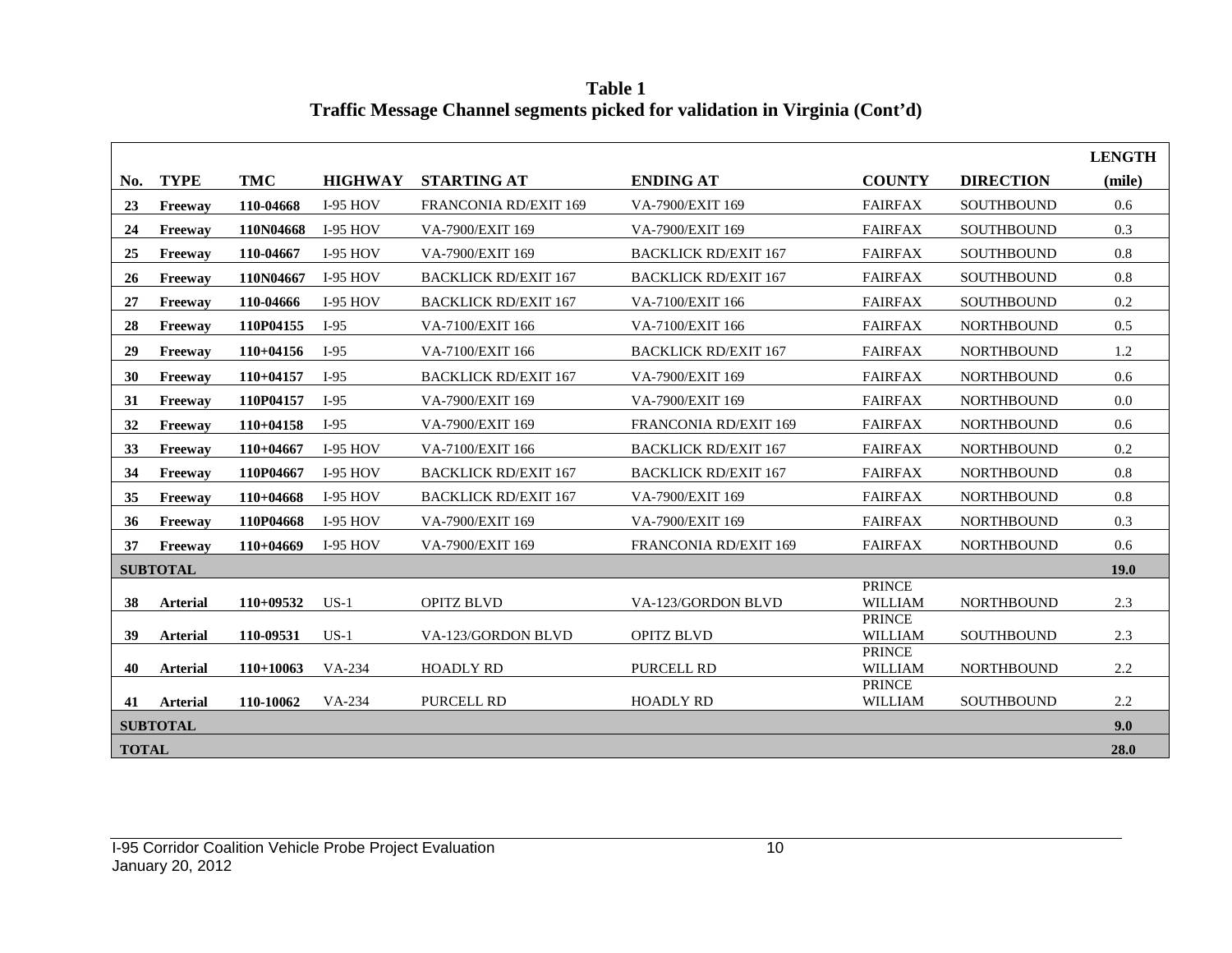**LENGTH No. TYPE TMC HIGHWAY STARTING AT ENDING AT COUNTY DIRECTION (mile) 23 Freeway 110-04668** I-95 HOV FRANCONIA RD/EXIT 169 VA-7900/EXIT 169 FAIRFAX SOUTHBOUND 0.6 **24 Freeway 110N04668** I-95 HOV VA-7900/EXIT 169 VA-7900/EXIT 169 FAIRFAX SOUTHBOUND 0.3 **25 Freeway 110-04667** I-95 HOV VA-7900/EXIT 169 BACKLICK RD/EXIT 167 FAIRFAX SOUTHBOUND 0.8 **26 Freeway 110N04667** I-95 HOV BACKLICK RD/EXIT 167 BACKLICK RD/EXIT 167 FAIRFAX SOUTHBOUND 0.8 **27 Freeway 110-04666** I-95 HOV BACKLICK RD/EXIT 167 VA-7100/EXIT 166 FAIRFAX SOUTHBOUND 0.2 **28 Freeway 110P04155** I-95 VA-7100/EXIT 166 VA-7100/EXIT 166 FAIRFAX NORTHBOUND 0.5 **29 Freeway 110+04156** I-95 VA-7100/EXIT 166 BACKLICK RD/EXIT 167 FAIRFAX NORTHBOUND 1.2 **30 Freeway 110+04157** I-95 BACKLICK RD/EXIT 167 VA-7900/EXIT 169 FAIRFAX NORTHBOUND 0.6 **31 Freeway 110P04157** I-95 VA-7900/EXIT 169 VA-7900/EXIT 169 FAIRFAX NORTHBOUND 0.0 **32 Freeway 110+04158** I-95 VA-7900/EXIT 169 FRANCONIA RD/EXIT 169 FAIRFAX NORTHBOUND 0.6 **33 Freeway 110+04667** I-95 HOV VA-7100/EXIT 166 BACKLICK RD/EXIT 167 FAIRFAX NORTHBOUND 0.2 **34 Freeway 110P04667** I-95 HOV BACKLICK RD/EXIT 167 BACKLICK RD/EXIT 167 FAIRFAX NORTHBOUND 0.8 **35 Freeway 110+04668** I-95 HOV BACKLICK RD/EXIT 167 VA-7900/EXIT 169 FAIRFAX NORTHBOUND 0.8 **36 Freeway 110P04668** I-95 HOV VA-7900/EXIT 169 VA-7900/EXIT 169 FAIRFAX NORTHBOUND 0.3 **37 Freeway 110+04669** I-95 HOV VA-7900/EXIT 169 FRANCONIA RD/EXIT 169 FAIRFAX NORTHBOUND 0.6 **SUBTOTAL 19.0 38 Arterial 110+09532** US-1 OPITZ BLVD VA-123/GORDON BLVD PRINCE<br>WILLIAM NORTHBOUND 2.3 **39 Arterial 110-09531** US-1 VA-123/GORDON BLVD OPITZ BLVD PRINCE WILLIAM SOUTHBOUND 2.3 **40 Arterial 110+10063** VA-234 HOADLY RD PURCELL RD **PRINCE** WILLIAM NORTHBOUND 2.2 **41 Arterial 110-10062** VA-234 PURCELL RD HOADLY RD **PRINCE** WILLIAM SOUTHBOUND 2.2 **SUBTOTAL 9.0 TOTAL 28.0**

**Table 1 Traffic Message Channel segments picked for validation in Virginia (Cont'd)**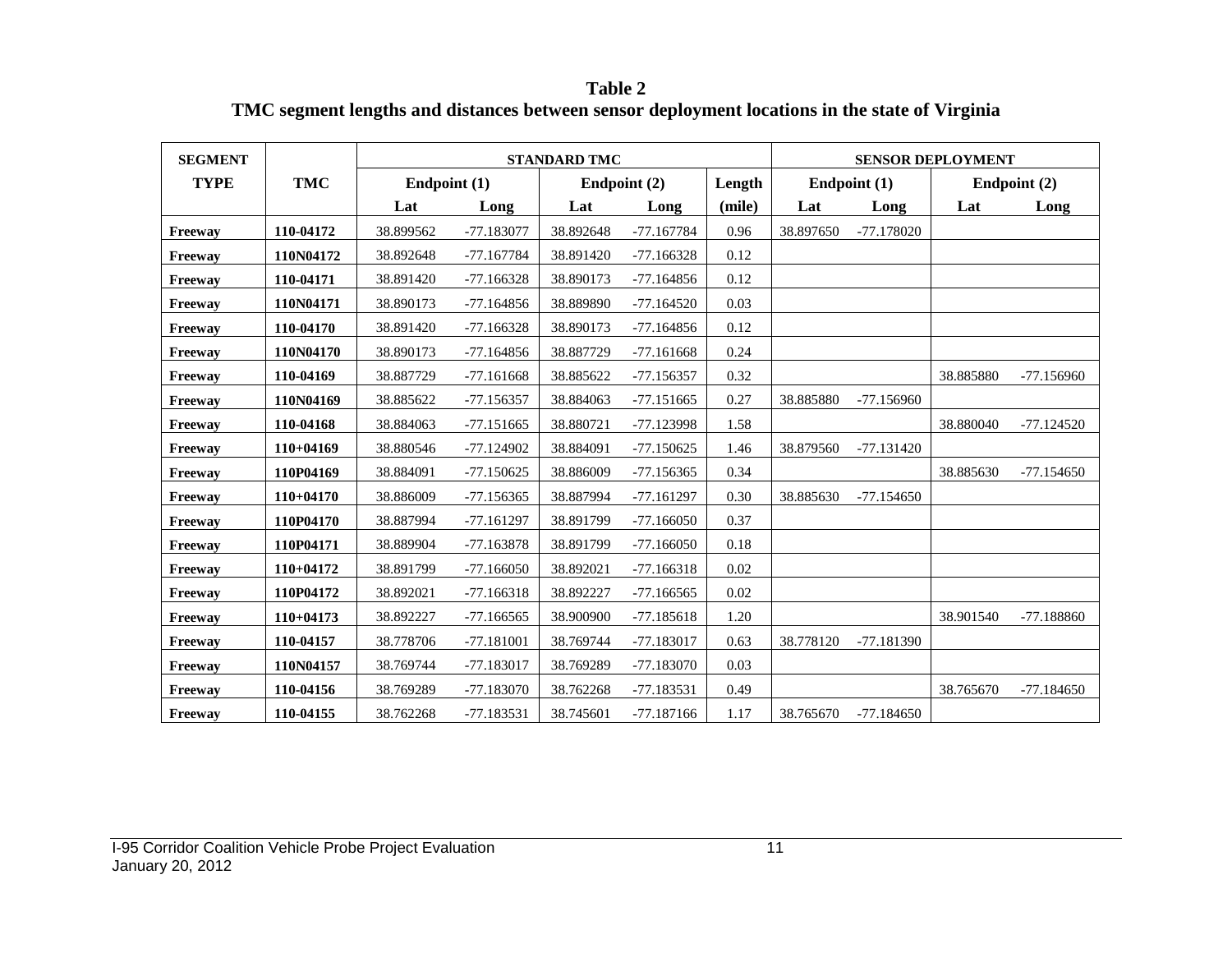**Table 2 TMC segment lengths and distances between sensor deployment locations in the state of Virginia**

| <b>SEGMENT</b> |             |              |              | <b>STANDARD TMC</b> |              |        | <b>SENSOR DEPLOYMENT</b> |              |           |              |  |
|----------------|-------------|--------------|--------------|---------------------|--------------|--------|--------------------------|--------------|-----------|--------------|--|
| <b>TYPE</b>    | <b>TMC</b>  | Endpoint (1) |              |                     | Endpoint (2) | Length | Endpoint (1)             |              |           | Endpoint (2) |  |
|                |             | Lat          | Long         | Lat                 | Long         | (mile) | Lat                      | Long         | Lat       | Long         |  |
| Freeway        | 110-04172   | 38.899562    | -77.183077   | 38.892648           | -77.167784   | 0.96   | 38.897650                | $-77.178020$ |           |              |  |
| Freeway        | 110N04172   | 38.892648    | $-77.167784$ | 38.891420           | $-77.166328$ | 0.12   |                          |              |           |              |  |
| Freeway        | 110-04171   | 38.891420    | $-77.166328$ | 38.890173           | $-77.164856$ | 0.12   |                          |              |           |              |  |
| Freeway        | 110N04171   | 38.890173    | $-77.164856$ | 38.889890           | $-77.164520$ | 0.03   |                          |              |           |              |  |
| Freeway        | 110-04170   | 38.891420    | $-77.166328$ | 38.890173           | $-77.164856$ | 0.12   |                          |              |           |              |  |
| Freeway        | 110N04170   | 38.890173    | $-77.164856$ | 38.887729           | $-77.161668$ | 0.24   |                          |              |           |              |  |
| Freeway        | 110-04169   | 38.887729    | $-77.161668$ | 38.885622           | $-77.156357$ | 0.32   |                          |              | 38.885880 | $-77.156960$ |  |
| Freeway        | 110N04169   | 38.885622    | -77.156357   | 38.884063           | $-77.151665$ | 0.27   | 38.885880                | -77.156960   |           |              |  |
| Freeway        | 110-04168   | 38.884063    | $-77.151665$ | 38.880721           | -77.123998   | 1.58   |                          |              | 38.880040 | $-77.124520$ |  |
| Freeway        | $110+04169$ | 38.880546    | -77.124902   | 38.884091           | $-77.150625$ | 1.46   | 38.879560                | $-77.131420$ |           |              |  |
| Freeway        | 110P04169   | 38.884091    | $-77.150625$ | 38.886009           | $-77.156365$ | 0.34   |                          |              | 38.885630 | $-77.154650$ |  |
| Freeway        | $110+04170$ | 38.886009    | $-77.156365$ | 38.887994           | $-77.161297$ | 0.30   | 38.885630                | $-77.154650$ |           |              |  |
| Freeway        | 110P04170   | 38.887994    | $-77.161297$ | 38.891799           | $-77.166050$ | 0.37   |                          |              |           |              |  |
| Freeway        | 110P04171   | 38.889904    | $-77.163878$ | 38.891799           | $-77.166050$ | 0.18   |                          |              |           |              |  |
| Freeway        | $110+04172$ | 38.891799    | $-77.166050$ | 38.892021           | $-77.166318$ | 0.02   |                          |              |           |              |  |
| Freeway        | 110P04172   | 38.892021    | $-77.166318$ | 38.892227           | $-77.166565$ | 0.02   |                          |              |           |              |  |
| Freeway        | $110+04173$ | 38.892227    | $-77.166565$ | 38.900900           | -77.185618   | 1.20   |                          |              | 38.901540 | -77.188860   |  |
| Freeway        | 110-04157   | 38.778706    | -77.181001   | 38.769744           | -77.183017   | 0.63   | 38.778120                | -77.181390   |           |              |  |
| Freeway        | 110N04157   | 38.769744    | -77.183017   | 38.769289           | $-77.183070$ | 0.03   |                          |              |           |              |  |
| Freeway        | 110-04156   | 38.769289    | -77.183070   | 38.762268           | -77.183531   | 0.49   |                          |              | 38.765670 | $-77.184650$ |  |
| Freeway        | 110-04155   | 38.762268    | -77.183531   | 38.745601           | $-77.187166$ | 1.17   | 38.765670                | $-77.184650$ |           |              |  |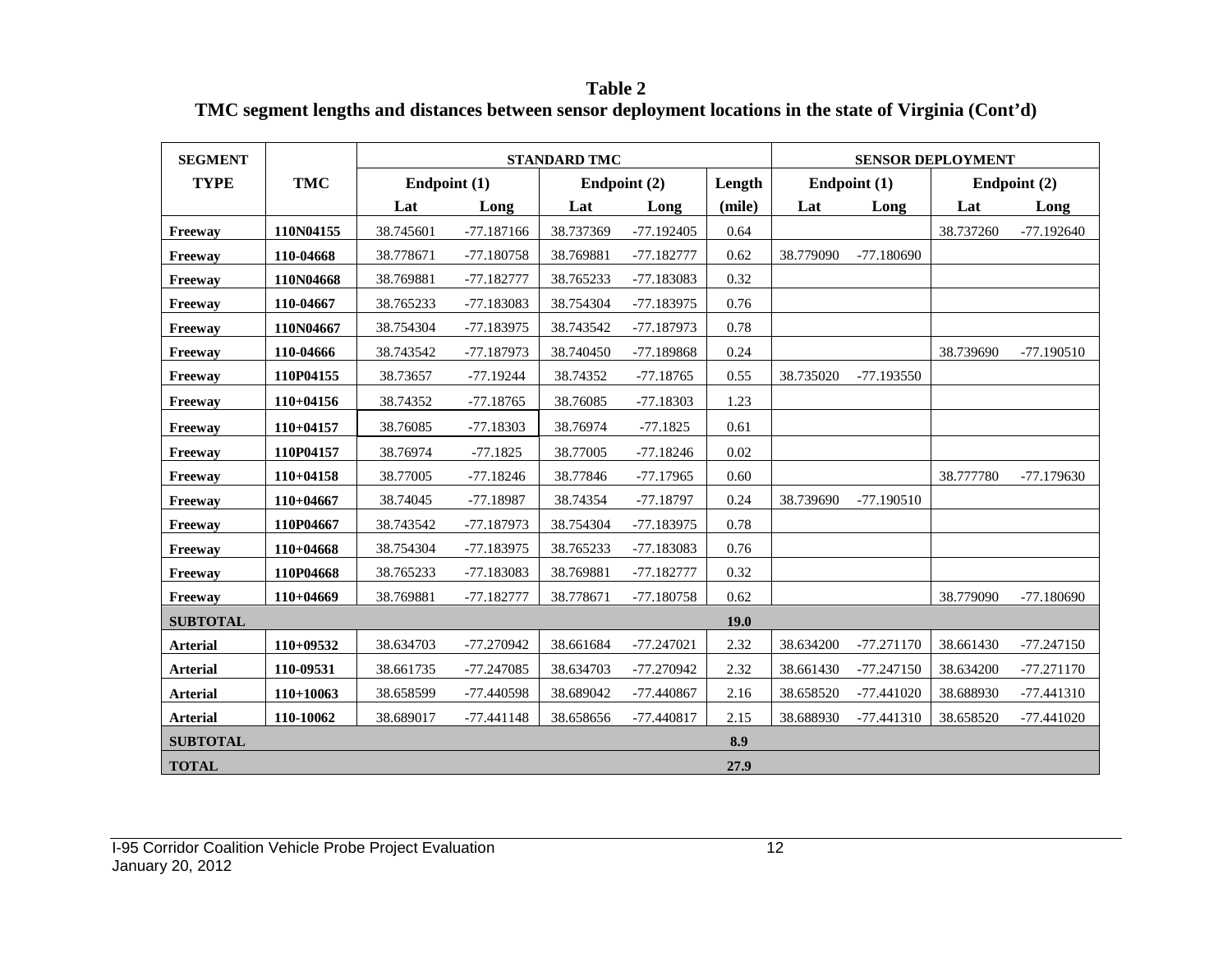**Table 2 TMC segment lengths and distances between sensor deployment locations in the state of Virginia (Cont'd)**

| <b>SEGMENT</b>  |             |              |              | <b>STANDARD TMC</b> |              |        | <b>SENSOR DEPLOYMENT</b> |              |           |              |  |  |
|-----------------|-------------|--------------|--------------|---------------------|--------------|--------|--------------------------|--------------|-----------|--------------|--|--|
| <b>TYPE</b>     | <b>TMC</b>  | Endpoint (1) |              |                     | Endpoint (2) | Length |                          | Endpoint (1) |           | Endpoint (2) |  |  |
|                 |             | Lat          | Long         | Lat                 | Long         | (mile) | Lat                      | Long         | Lat       | Long         |  |  |
| Freeway         | 110N04155   | 38.745601    | $-77.187166$ | 38.737369           | $-77.192405$ | 0.64   |                          |              | 38.737260 | $-77.192640$ |  |  |
| Freeway         | 110-04668   | 38.778671    | -77.180758   | 38.769881           | $-77.182777$ | 0.62   | 38.779090                | $-77.180690$ |           |              |  |  |
| Freeway         | 110N04668   | 38.769881    | -77.182777   | 38.765233           | -77.183083   | 0.32   |                          |              |           |              |  |  |
| Freeway         | 110-04667   | 38.765233    | -77.183083   | 38.754304           | $-77.183975$ | 0.76   |                          |              |           |              |  |  |
| Freeway         | 110N04667   | 38.754304    | $-77.183975$ | 38.743542           | $-77.187973$ | 0.78   |                          |              |           |              |  |  |
| Freeway         | 110-04666   | 38.743542    | -77.187973   | 38.740450           | -77.189868   | 0.24   |                          |              | 38.739690 | $-77.190510$ |  |  |
| Freeway         | 110P04155   | 38.73657     | $-77.19244$  | 38.74352            | $-77.18765$  | 0.55   | 38.735020                | $-77.193550$ |           |              |  |  |
| Freeway         | $110+04156$ | 38.74352     | $-77.18765$  | 38.76085            | $-77.18303$  | 1.23   |                          |              |           |              |  |  |
| Freeway         | $110+04157$ | 38.76085     | $-77.18303$  | 38.76974            | $-77.1825$   | 0.61   |                          |              |           |              |  |  |
| Freeway         | 110P04157   | 38.76974     | $-77.1825$   | 38.77005            | $-77.18246$  | 0.02   |                          |              |           |              |  |  |
| Freeway         | $110+04158$ | 38.77005     | $-77.18246$  | 38.77846            | $-77.17965$  | 0.60   |                          |              | 38.777780 | -77.179630   |  |  |
| Freeway         | 110+04667   | 38.74045     | $-77.18987$  | 38.74354            | $-77.18797$  | 0.24   | 38.739690                | $-77.190510$ |           |              |  |  |
| Freeway         | 110P04667   | 38.743542    | -77.187973   | 38.754304           | -77.183975   | 0.78   |                          |              |           |              |  |  |
| Freeway         | $110+04668$ | 38.754304    | $-77.183975$ | 38.765233           | -77.183083   | 0.76   |                          |              |           |              |  |  |
| Freeway         | 110P04668   | 38.765233    | -77.183083   | 38.769881           | $-77.182777$ | 0.32   |                          |              |           |              |  |  |
| Freeway         | $110+04669$ | 38.769881    | $-77.182777$ | 38.778671           | $-77.180758$ | 0.62   |                          |              | 38.779090 | $-77.180690$ |  |  |
| <b>SUBTOTAL</b> |             |              |              |                     |              | 19.0   |                          |              |           |              |  |  |
| <b>Arterial</b> | 110+09532   | 38.634703    | -77.270942   | 38.661684           | $-77.247021$ | 2.32   | 38.634200                | $-77.271170$ | 38.661430 | $-77.247150$ |  |  |
| <b>Arterial</b> | 110-09531   | 38.661735    | -77.247085   | 38.634703           | -77.270942   | 2.32   | 38.661430                | $-77.247150$ | 38.634200 | -77.271170   |  |  |
| <b>Arterial</b> | 110+10063   | 38.658599    | -77.440598   | 38.689042           | -77.440867   | 2.16   | 38.658520                | $-77.441020$ | 38.688930 | -77.441310   |  |  |
| <b>Arterial</b> | 110-10062   | 38.689017    | $-77.441148$ | 38.658656           | $-77.440817$ | 2.15   | 38.688930                | $-77.441310$ | 38.658520 | $-77.441020$ |  |  |
| <b>SUBTOTAL</b> |             |              |              |                     |              | 8.9    |                          |              |           |              |  |  |
| <b>TOTAL</b>    |             |              |              |                     |              | 27.9   |                          |              |           |              |  |  |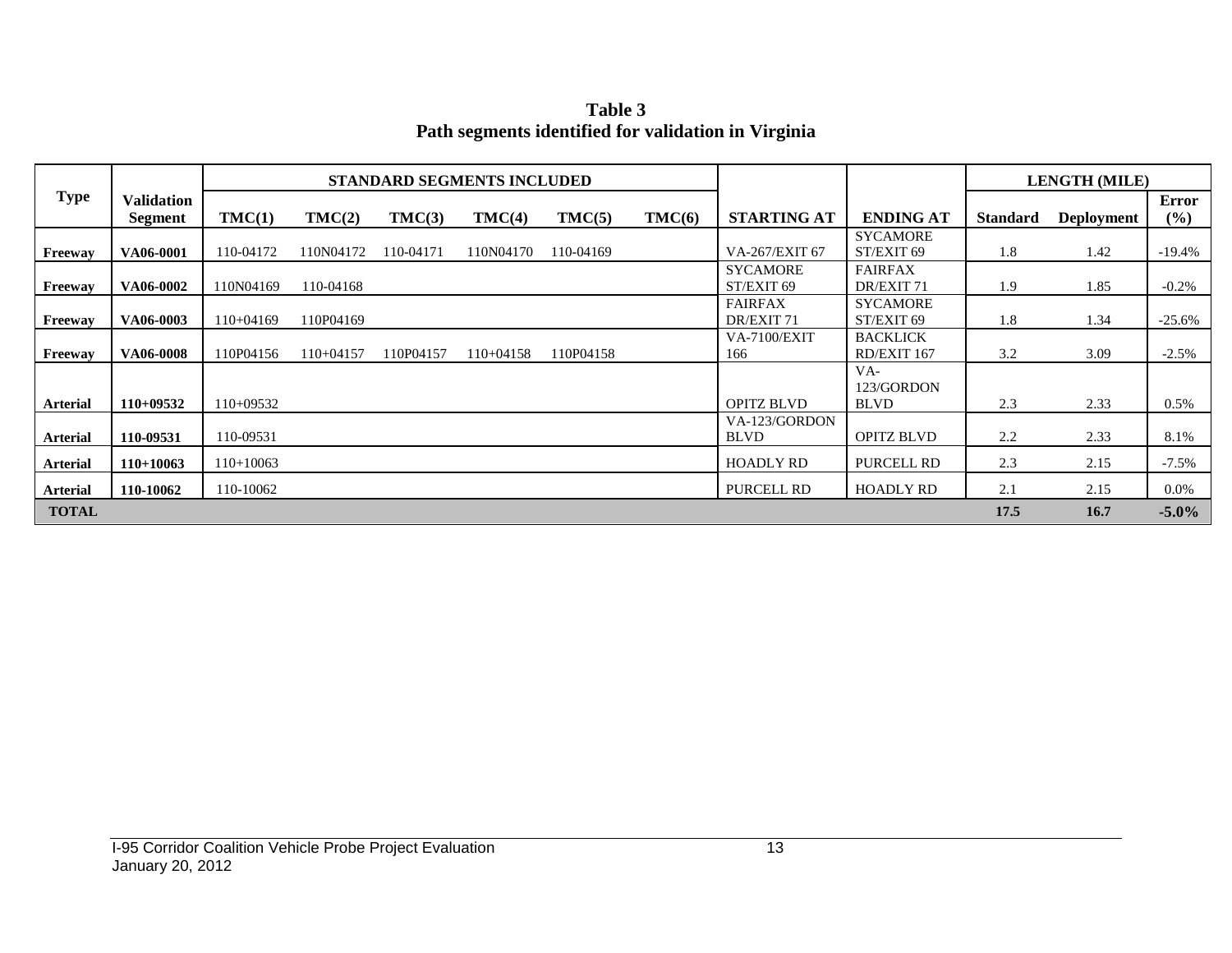**Table 3 Path segments identified for validation in Virginia**

|                 |                              |             |             |           | <b>STANDARD SEGMENTS INCLUDED</b> |           |        |                               |                                    |                 | <b>LENGTH (MILE)</b> |              |
|-----------------|------------------------------|-------------|-------------|-----------|-----------------------------------|-----------|--------|-------------------------------|------------------------------------|-----------------|----------------------|--------------|
| <b>Type</b>     | <b>Validation</b><br>Segment | TMC(1)      | TMC(2)      | TMC(3)    | TMC(4)                            | TMC(5)    | TMC(6) | <b>STARTING AT</b>            | <b>ENDING AT</b>                   | <b>Standard</b> | <b>Deployment</b>    | Error<br>(%) |
| Freeway         | VA06-0001                    | 110-04172   | 110N04172   | 110-04171 | 110N04170                         | 110-04169 |        | VA-267/EXIT 67                | <b>SYCAMORE</b><br>ST/EXIT 69      | 1.8             | 1.42                 | $-19.4\%$    |
| Freeway         | VA06-0002                    | 110N04169   | 110-04168   |           |                                   |           |        | <b>SYCAMORE</b><br>ST/EXIT 69 | <b>FAIRFAX</b><br>DR/EXIT 71       | 1.9             | 1.85                 | $-0.2\%$     |
| Freeway         | VA06-0003                    | $110+04169$ | 110P04169   |           |                                   |           |        | <b>FAIRFAX</b><br>DR/EXIT 71  | <b>SYCAMORE</b><br>ST/EXIT 69      | 1.8             | 1.34                 | $-25.6%$     |
| Freeway         | VA06-0008                    | 110P04156   | $110+04157$ | 110P04157 | $110+04158$                       | 110P04158 |        | <b>VA-7100/EXIT</b><br>166    | <b>BACKLICK</b><br>RD/EXIT 167     | 3.2             | 3.09                 | $-2.5%$      |
| <b>Arterial</b> | $110+09532$                  | $110+09532$ |             |           |                                   |           |        | <b>OPITZ BLVD</b>             | $VA-$<br>123/GORDON<br><b>BLVD</b> | 2.3             | 2.33                 | 0.5%         |
| <b>Arterial</b> | 110-09531                    | 110-09531   |             |           |                                   |           |        | VA-123/GORDON<br><b>BLVD</b>  | <b>OPITZ BLVD</b>                  | 2.2             | 2.33                 | 8.1%         |
| <b>Arterial</b> | $110+10063$                  | $110+10063$ |             |           |                                   |           |        | <b>HOADLY RD</b>              | <b>PURCELL RD</b>                  | 2.3             | 2.15                 | $-7.5\%$     |
| <b>Arterial</b> | 110-10062                    | 110-10062   |             |           |                                   |           |        | PURCELL RD                    | <b>HOADLY RD</b>                   | 2.1             | 2.15                 | $0.0\%$      |
| <b>TOTAL</b>    |                              |             |             |           |                                   |           |        |                               |                                    | 17.5            | 16.7                 | $-5.0\%$     |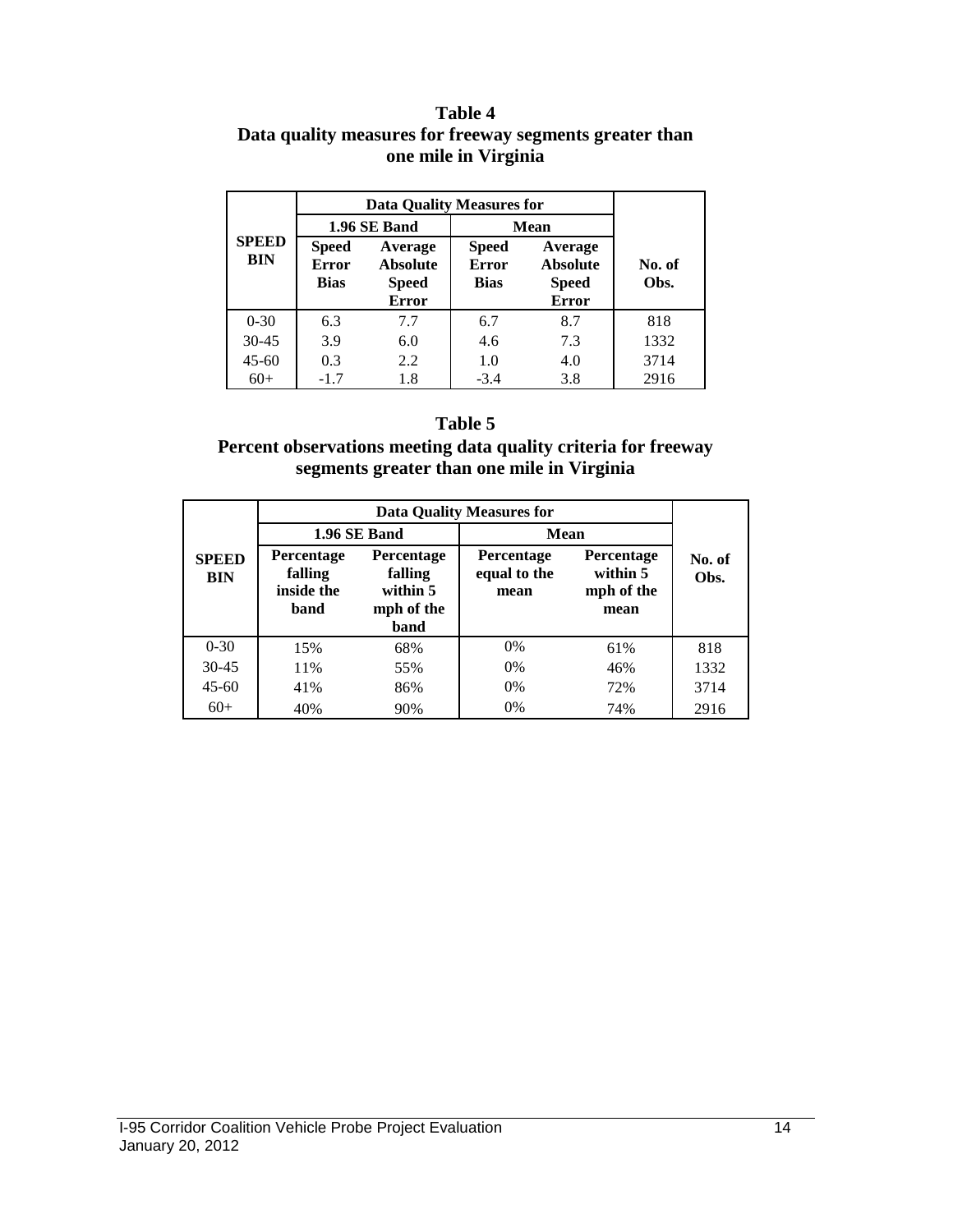#### **Table 4 Data quality measures for freeway segments greater than one mile in Virginia**

|                            | <b>Data Quality Measures for</b>     |                                                            |                                             |                                                            |                |  |  |
|----------------------------|--------------------------------------|------------------------------------------------------------|---------------------------------------------|------------------------------------------------------------|----------------|--|--|
| <b>SPEED</b><br><b>BIN</b> |                                      | 1.96 SE Band                                               |                                             | <b>Mean</b>                                                |                |  |  |
|                            | <b>Speed</b><br><b>Error</b><br>Bias | Average<br><b>Absolute</b><br><b>Speed</b><br><b>Error</b> | <b>Speed</b><br><b>Error</b><br><b>Bias</b> | Average<br><b>Absolute</b><br><b>Speed</b><br><b>Error</b> | No. of<br>Obs. |  |  |
| $0 - 30$                   | 6.3                                  | 7.7                                                        | 6.7                                         | 8.7                                                        | 818            |  |  |
| $30 - 45$                  | 3.9                                  | 6.0                                                        | 4.6                                         | 7.3                                                        | 1332           |  |  |
| $45 - 60$                  | 0.3                                  | 2.2                                                        | 1.0                                         | 4.0                                                        | 3714           |  |  |
| $60+$                      | $-1.7$                               | 1.8                                                        | $-3.4$                                      | 3.8                                                        | 2916           |  |  |

#### **Table 5**

#### **Percent observations meeting data quality criteria for freeway segments greater than one mile in Virginia**

|                            |                                                    | 1.96 SE Band                                            | Mean                                      |                                                     |                |  |
|----------------------------|----------------------------------------------------|---------------------------------------------------------|-------------------------------------------|-----------------------------------------------------|----------------|--|
| <b>SPEED</b><br><b>BIN</b> | <b>Percentage</b><br>falling<br>inside the<br>band | Percentage<br>falling<br>within 5<br>mph of the<br>band | <b>Percentage</b><br>equal to the<br>mean | <b>Percentage</b><br>within 5<br>mph of the<br>mean | No. of<br>Obs. |  |
| $0 - 30$                   | 15%                                                | 68%                                                     | 0%                                        | 61%                                                 | 818            |  |
| $30 - 45$                  | 11%                                                | 55%                                                     | $0\%$                                     | 46%                                                 | 1332           |  |
| $45 - 60$                  | 41%                                                | 86%                                                     | $0\%$                                     | 72%                                                 | 3714           |  |
| $60+$                      | 40%                                                | 90%                                                     | 0%                                        | 74%                                                 | 2916           |  |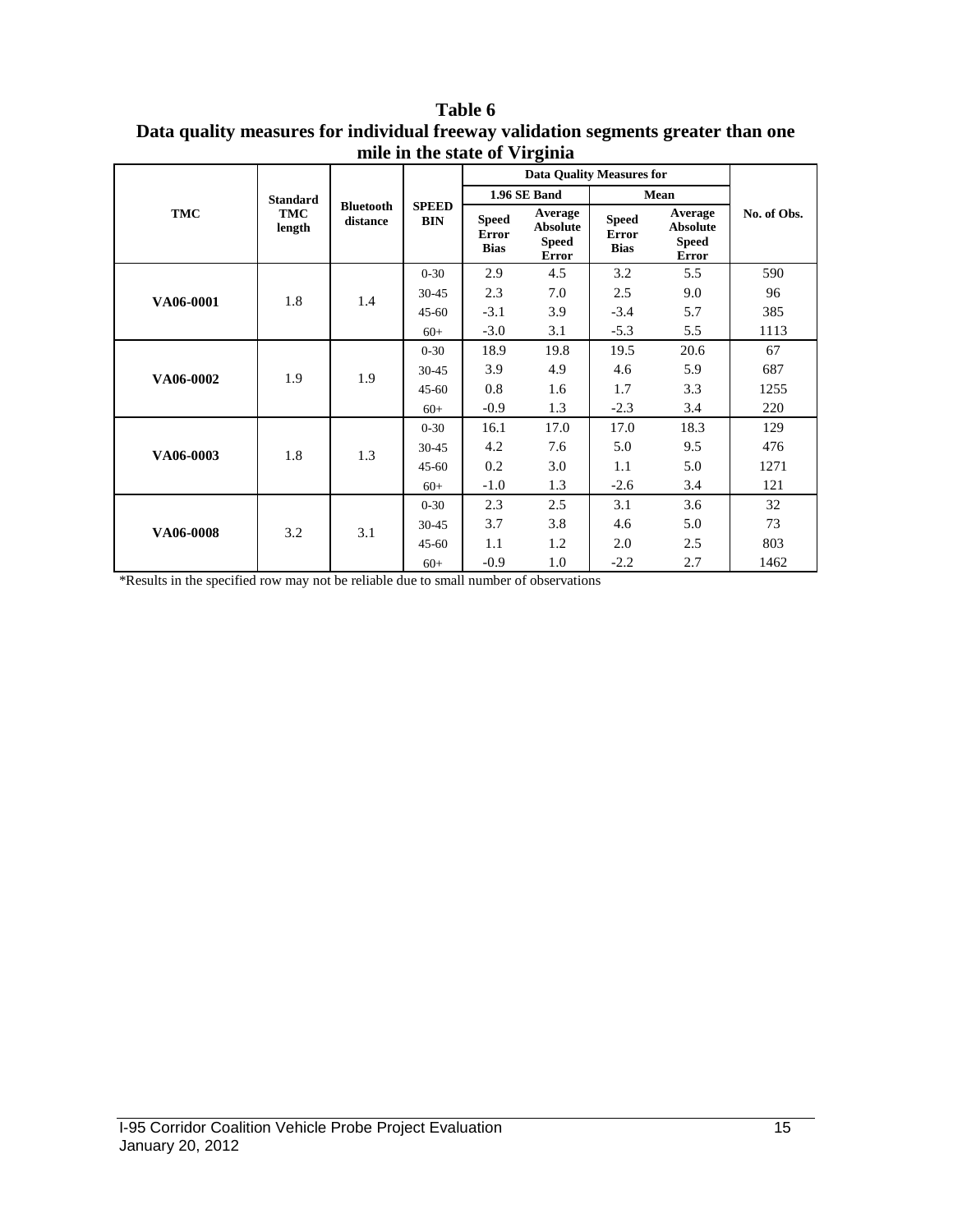|            |                      |                              |              |                                             | o<br><b>Data Quality Measures for</b>                      |                                      |                                                            |             |
|------------|----------------------|------------------------------|--------------|---------------------------------------------|------------------------------------------------------------|--------------------------------------|------------------------------------------------------------|-------------|
|            | <b>Standard</b>      |                              | <b>SPEED</b> |                                             | 1.96 SE Band                                               |                                      | Mean                                                       |             |
| <b>TMC</b> | <b>TMC</b><br>length | <b>Bluetooth</b><br>distance | <b>BIN</b>   | <b>Speed</b><br><b>Error</b><br><b>Bias</b> | Average<br><b>Absolute</b><br><b>Speed</b><br><b>Error</b> | <b>Speed</b><br>Error<br><b>Bias</b> | Average<br><b>Absolute</b><br><b>Speed</b><br><b>Error</b> | No. of Obs. |
| VA06-0001  |                      |                              | $0 - 30$     | 2.9                                         | 4.5                                                        | 3.2                                  | 5.5                                                        | 590         |
|            | 1.8                  | 1.4                          | 30-45        | 2.3                                         | 7.0                                                        | 2.5                                  | 9.0                                                        | 96          |
|            |                      |                              | $45 - 60$    | $-3.1$                                      | 3.9                                                        | $-3.4$                               | 5.7                                                        | 385         |
|            |                      |                              | $60+$        | $-3.0$                                      | 3.1                                                        | $-5.3$                               | 5.5                                                        | 1113        |
|            | 1.9                  | 1.9                          | $0 - 30$     | 18.9                                        | 19.8                                                       | 19.5                                 | 20.6                                                       | 67          |
| VA06-0002  |                      |                              | 30-45        | 3.9                                         | 4.9                                                        | 4.6                                  | 5.9                                                        | 687         |
|            |                      |                              | $45 - 60$    | 0.8                                         | 1.6                                                        | 1.7                                  | 3.3                                                        | 1255        |
|            |                      |                              | $60+$        | $-0.9$                                      | 1.3                                                        | $-2.3$                               | 3.4                                                        | 220         |
|            |                      |                              | $0 - 30$     | 16.1                                        | 17.0                                                       | 17.0                                 | 18.3                                                       | 129         |
| VA06-0003  | 1.8                  | 1.3                          | 30-45        | 4.2                                         | 7.6                                                        | 5.0                                  | 9.5                                                        | 476         |
|            |                      |                              | $45 - 60$    | 0.2                                         | 3.0                                                        | 1.1                                  | 5.0                                                        | 1271        |
|            |                      |                              | $60+$        | $-1.0$                                      | 1.3                                                        | $-2.6$                               | 3.4                                                        | 121         |
|            |                      |                              | $0 - 30$     | 2.3                                         | 2.5                                                        | 3.1                                  | 3.6                                                        | 32          |
| VA06-0008  | 3.2                  | 3.1                          | 30-45        | 3.7                                         | 3.8                                                        | 4.6                                  | 5.0                                                        | 73          |
|            |                      |                              | $45-60$      | 1.1                                         | 1.2                                                        | 2.0                                  | 2.5                                                        | 803         |
|            |                      |                              | $60+$        | $-0.9$                                      | 1.0                                                        | $-2.2$                               | 2.7                                                        | 1462        |

**Table 6 Data quality measures for individual freeway validation segments greater than one mile in the state of Virginia**

\*Results in the specified row may not be reliable due to small number of observations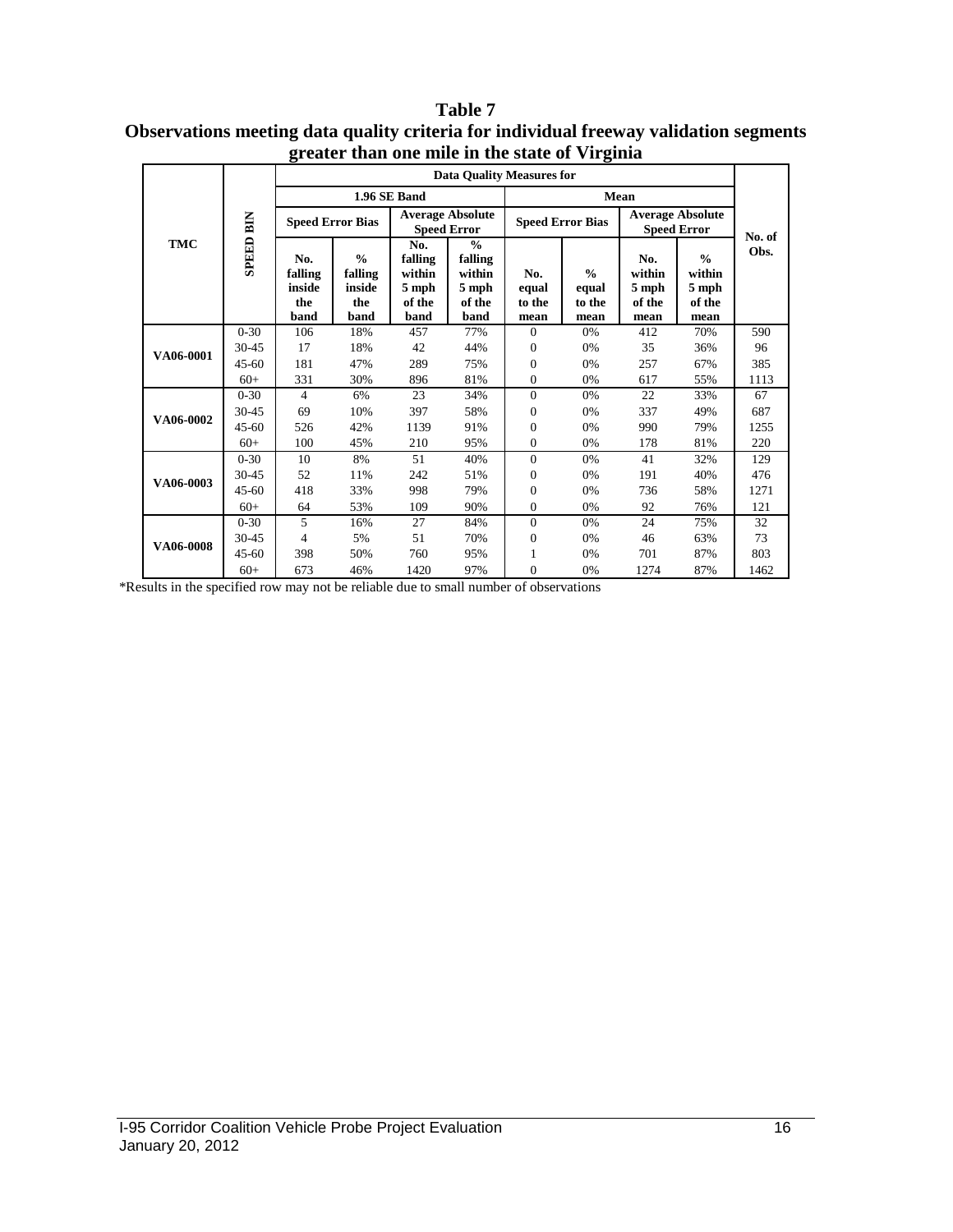| <b>Table 7</b>                                                                        |
|---------------------------------------------------------------------------------------|
| Observations meeting data quality criteria for individual freeway validation segments |
| greater than one mile in the state of Virginia                                        |

|            | si cater than one mne in the state or y n smna |                                         |                                                   |                                                     |                                                               |                                |                                          |                                               |                                                    |        |  |  |
|------------|------------------------------------------------|-----------------------------------------|---------------------------------------------------|-----------------------------------------------------|---------------------------------------------------------------|--------------------------------|------------------------------------------|-----------------------------------------------|----------------------------------------------------|--------|--|--|
|            |                                                |                                         | <b>Data Quality Measures for</b>                  |                                                     |                                                               |                                |                                          |                                               |                                                    |        |  |  |
|            |                                                |                                         |                                                   | 1.96 SE Band                                        |                                                               |                                |                                          |                                               |                                                    |        |  |  |
|            |                                                | <b>Speed Error Bias</b>                 |                                                   |                                                     | <b>Average Absolute</b><br><b>Speed Error</b>                 |                                | <b>Speed Error Bias</b>                  | <b>Average Absolute</b><br><b>Speed Error</b> |                                                    | No. of |  |  |
| <b>TMC</b> | <b>SPEED BIN</b>                               | No.<br>falling<br>inside<br>the<br>band | $\frac{0}{0}$<br>falling<br>inside<br>the<br>band | No.<br>falling<br>within<br>5 mph<br>of the<br>band | $\frac{0}{0}$<br>falling<br>within<br>5 mph<br>of the<br>band | No.<br>equal<br>to the<br>mean | $\frac{0}{0}$<br>equal<br>to the<br>mean | No.<br>within<br>5 mph<br>of the<br>mean      | $\frac{0}{0}$<br>within<br>5 mph<br>of the<br>mean | Obs.   |  |  |
|            | $0 - 30$                                       | 106                                     | 18%                                               | 457                                                 | 77%                                                           | $\theta$                       | 0%                                       | 412                                           | 70%                                                | 590    |  |  |
| VA06-0001  | 30-45                                          | 17                                      | 18%                                               | 42                                                  | 44%                                                           | $\overline{0}$                 | 0%                                       | 35                                            | 36%                                                | 96     |  |  |
|            | $45 - 60$                                      | 181                                     | 47%                                               | 289                                                 | 75%                                                           | $\overline{0}$                 | 0%                                       | 257                                           | 67%                                                | 385    |  |  |
|            | $60+$                                          | 331                                     | 30%                                               | 896                                                 | 81%                                                           | 0                              | 0%                                       | 617                                           | 55%                                                | 1113   |  |  |
|            | $0 - 30$                                       | $\overline{4}$                          | 6%                                                | 23                                                  | 34%                                                           | $\mathbf{0}$                   | 0%                                       | 22                                            | 33%                                                | 67     |  |  |
|            | 30-45                                          | 69                                      | 10%                                               | 397                                                 | 58%                                                           | $\overline{0}$                 | 0%                                       | 337                                           | 49%                                                | 687    |  |  |
| VA06-0002  | $45 - 60$                                      | 526                                     | 42%                                               | 1139                                                | 91%                                                           | $\overline{0}$                 | 0%                                       | 990                                           | 79%                                                | 1255   |  |  |
|            | $60+$                                          | 100                                     | 45%                                               | 210                                                 | 95%                                                           | $\mathbf{0}$                   | 0%                                       | 178                                           | 81%                                                | 220    |  |  |
|            | $0 - 30$                                       | 10                                      | 8%                                                | 51                                                  | 40%                                                           | $\mathbf{0}$                   | 0%                                       | 41                                            | 32%                                                | 129    |  |  |
|            | 30-45                                          | 52                                      | 11%                                               | 242                                                 | 51%                                                           | 0                              | 0%                                       | 191                                           | 40%                                                | 476    |  |  |
| VA06-0003  | $45 - 60$                                      | 418                                     | 33%                                               | 998                                                 | 79%                                                           | $\overline{0}$                 | 0%                                       | 736                                           | 58%                                                | 1271   |  |  |
|            | $60+$                                          | 64                                      | 53%                                               | 109                                                 | 90%                                                           | 0                              | 0%                                       | 92                                            | 76%                                                | 121    |  |  |
|            | $0 - 30$                                       | 5                                       | 16%                                               | 27                                                  | 84%                                                           | $\mathbf{0}$                   | 0%                                       | 24                                            | 75%                                                | 32     |  |  |
|            | 30-45                                          | $\overline{4}$                          | 5%                                                | 51                                                  | 70%                                                           | $\mathbf{0}$                   | 0%                                       | 46                                            | 63%                                                | 73     |  |  |
| VA06-0008  | $45 - 60$                                      | 398                                     | 50%                                               | 760                                                 | 95%                                                           | 1                              | 0%                                       | 701                                           | 87%                                                | 803    |  |  |
|            | $60+$                                          | 673                                     | 46%                                               | 1420                                                | 97%                                                           | $\overline{0}$                 | 0%                                       | 1274                                          | 87%                                                | 1462   |  |  |

\*Results in the specified row may not be reliable due to small number of observations